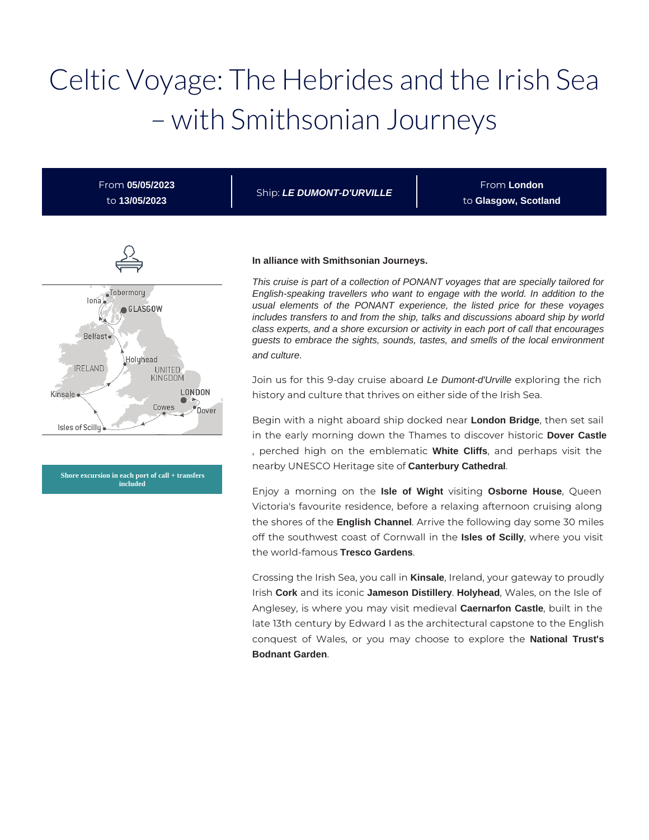# Celtic Voyage: The Hebrides and the Irish Sea – with Smithsonian Journeys

From **05/05/2023** to **13/05/2023**

Ship: **LE DUMONT-D'URVILLE**

From **London** to **Glasgow, Scotland**



**Shore excursion in each port of call + transfers included**

#### **In alliance with Smithsonian Journeys.**

This cruise is part of a collection of PONANT voyages that are specially tailored for English-speaking travellers who want to engage with the world. In addition to the usual elements of the PONANT experience, the listed price for these voyages includes transfers to and from the ship, talks and discussions aboard ship by world class experts, and a shore excursion or activity in each port of call that encourages guests to embrace the sights, sounds, tastes, and smells of the local environment and culture.

Join us for this 9-day cruise aboard Le Dumont-d'Urville exploring the rich history and culture that thrives on either side of the Irish Sea.

Begin with a night aboard ship docked near **London Bridge**, then set sail in the early morning down the Thames to discover historic **Dover Castle** , perched high on the emblematic **White Cliffs**, and perhaps visit the nearby UNESCO Heritage site of **Canterbury Cathedral**.

Enjoy a morning on the **Isle of Wight** visiting **Osborne House**, Queen Victoria's favourite residence, before a relaxing afternoon cruising along the shores of the **English Channel**. Arrive the following day some 30 miles off the southwest coast of Cornwall in the **Isles of Scilly**, where you visit the world-famous **Tresco Gardens**.

Crossing the Irish Sea, you call in **Kinsale**, Ireland, your gateway to proudly Irish **Cork** and its iconic **Jameson Distillery**. **Holyhead**, Wales, on the Isle of Anglesey, is where you may visit medieval **Caernarfon Castle**, built in the late 13th century by Edward I as the architectural capstone to the English conquest of Wales, or you may choose to explore the **National Trust's Bodnant Garden**.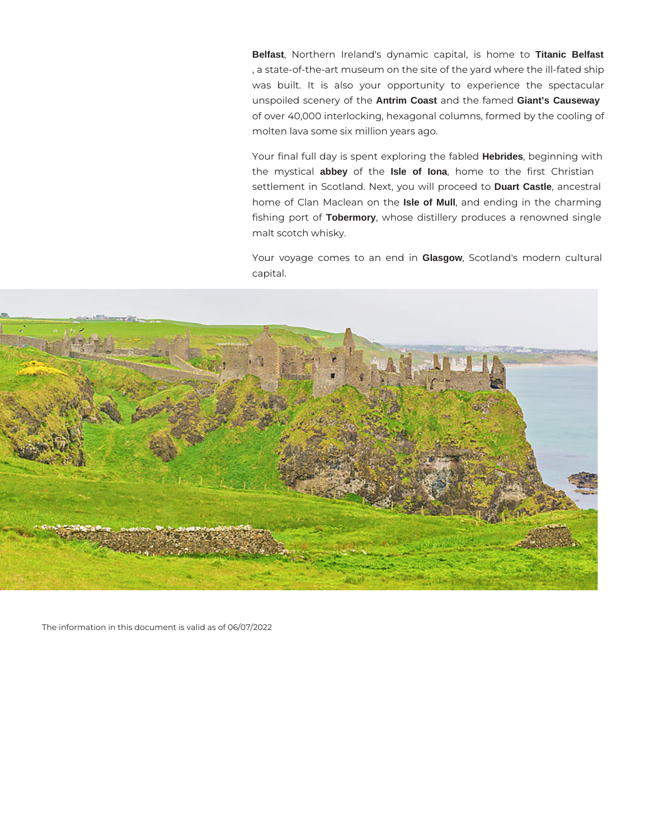**Belfast**, Northern Ireland's dynamic capital, is home to **Titanic Belfast** , a state-of-the-art museum on the site of the yard where the ill-fated ship was built. It is also your opportunity to experience the spectacular unspoiled scenery of the **Antrim Coast** and the famed **Giant's Causeway** of over 40,000 interlocking, hexagonal columns, formed by the cooling of molten lava some six million years ago.

Your final full day is spent exploring the fabled **Hebrides**, beginning with the mystical **abbey** of the **Isle of Iona**, home to the first Christian settlement in Scotland. Next, you will proceed to **Duart Castle**, ancestral home of Clan Maclean on the **Isle of Mull**, and ending in the charming fishing port of **Tobermory**, whose distillery produces a renowned single malt scotch whisky.

Your voyage comes to an end in **Glasgow**, Scotland's modern cultural capital.



The information in this document is valid as of 06/07/2022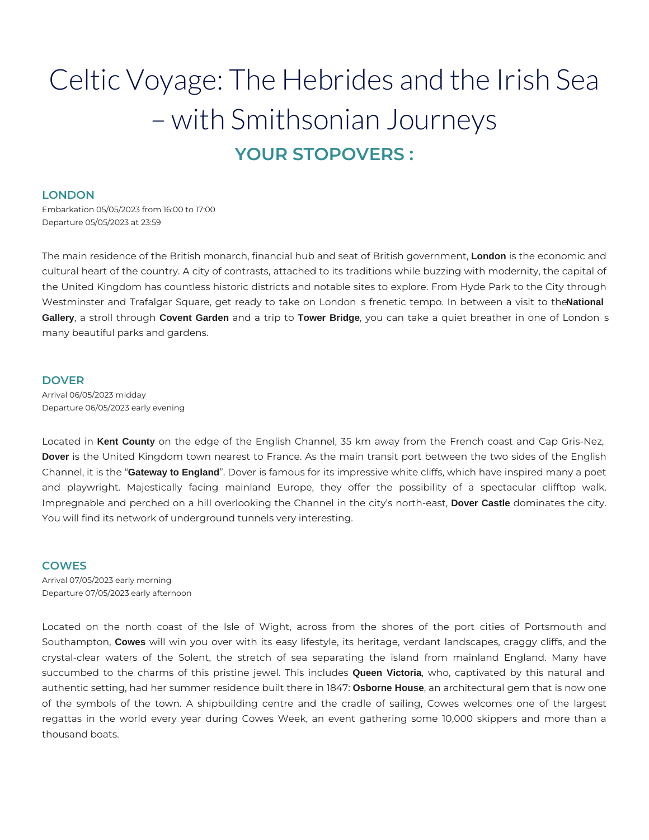## Celtic Voyage: The Hebrides and the Irish Sea – with Smithsonian Journeys **YOUR STOPOVERS :**

#### **LONDON**

Embarkation 05/05/2023 from 16:00 to 17:00 Departure 05/05/2023 at 23:59

The main residence of the British monarch, financial hub and seat of British government, **London** is the economic and cultural heart of the country. A city of contrasts, attached to its traditions while buzzing with modernity, the capital of the United Kingdom has countless historic districts and notable sites to explore. From Hyde Park to the City through Westminster and Trafalgar Square, get ready to take on London s frenetic tempo. In between a visit to the **National** Gallery, a stroll through Covent Garden and a trip to Tower Bridge, you can take a quiet breather in one of London s many beautiful parks and gardens.

#### **DOVER**

Arrival 06/05/2023 midday Departure 06/05/2023 early evening

Located in **Kent County** on the edge of the English Channel, 35 km away from the French coast and Cap Gris-Nez, **Dover** is the United Kingdom town nearest to France. As the main transit port between the two sides of the English Channel, it is the "**Gateway to England**". Dover is famous for its impressive white cliffs, which have inspired many a poet and playwright. Majestically facing mainland Europe, they offer the possibility of a spectacular clifftop walk. Impregnable and perched on a hill overlooking the Channel in the city's north-east, **Dover Castle** dominates the city. You will find its network of underground tunnels very interesting.

#### **COWES**

Arrival 07/05/2023 early morning Departure 07/05/2023 early afternoon

Located on the north coast of the Isle of Wight, across from the shores of the port cities of Portsmouth and Southampton, **Cowes** will win you over with its easy lifestyle, its heritage, verdant landscapes, craggy cliffs, and the crystal-clear waters of the Solent, the stretch of sea separating the island from mainland England. Many have succumbed to the charms of this pristine jewel. This includes **Queen Victoria**, who, captivated by this natural and authentic setting, had her summer residence built there in 1847: **Osborne House**, an architectural gem that is now one of the symbols of the town. A shipbuilding centre and the cradle of sailing, Cowes welcomes one of the largest regattas in the world every year during Cowes Week, an event gathering some 10,000 skippers and more than a thousand boats.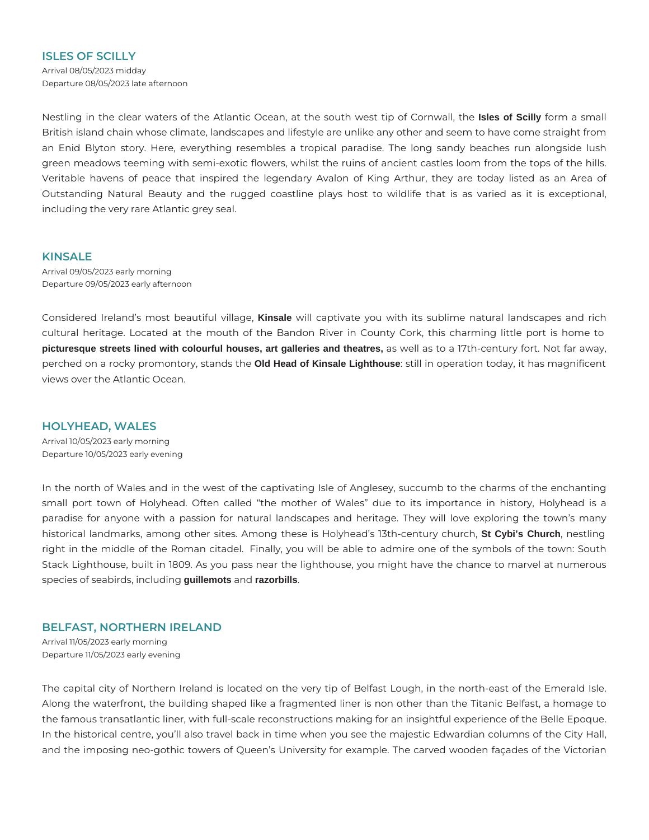#### **ISLES OF SCILLY**

Arrival 08/05/2023 midday Departure 08/05/2023 late afternoon

Nestling in the clear waters of the Atlantic Ocean, at the south west tip of Cornwall, the **Isles of Scilly** form a small British island chain whose climate, landscapes and lifestyle are unlike any other and seem to have come straight from an Enid Blyton story. Here, everything resembles a tropical paradise. The long sandy beaches run alongside lush green meadows teeming with semi-exotic flowers, whilst the ruins of ancient castles loom from the tops of the hills. Veritable havens of peace that inspired the legendary Avalon of King Arthur, they are today listed as an Area of Outstanding Natural Beauty and the rugged coastline plays host to wildlife that is as varied as it is exceptional, including the very rare Atlantic grey seal.

### **KINSALE**

Arrival 09/05/2023 early morning Departure 09/05/2023 early afternoon

Considered Ireland's most beautiful village, **Kinsale** will captivate you with its sublime natural landscapes and rich cultural heritage. Located at the mouth of the Bandon River in County Cork, this charming little port is home to **picturesque streets lined with colourful houses, art galleries and theatres,** as well as to a 17th-century fort. Not far away, perched on a rocky promontory, stands the **Old Head of Kinsale Lighthouse**: still in operation today, it has magnificent views over the Atlantic Ocean.

#### **HOLYHEAD, WALES**

Arrival 10/05/2023 early morning Departure 10/05/2023 early evening

In the north of Wales and in the west of the captivating Isle of Anglesey, succumb to the charms of the enchanting small port town of Holyhead. Often called "the mother of Wales" due to its importance in history, Holyhead is a paradise for anyone with a passion for natural landscapes and heritage. They will love exploring the town's many historical landmarks, among other sites. Among these is Holyhead's 13th-century church, **St Cybi's Church**, nestling right in the middle of the Roman citadel. Finally, you will be able to admire one of the symbols of the town: South Stack Lighthouse, built in 1809. As you pass near the lighthouse, you might have the chance to marvel at numerous species of seabirds, including **guillemots** and **razorbills**.

## **BELFAST, NORTHERN IRELAND**

Arrival 11/05/2023 early morning Departure 11/05/2023 early evening

The capital city of Northern Ireland is located on the very tip of Belfast Lough, in the north-east of the Emerald Isle. Along the waterfront, the building shaped like a fragmented liner is non other than the Titanic Belfast, a homage to the famous transatlantic liner, with full-scale reconstructions making for an insightful experience of the Belle Epoque. In the historical centre, you'll also travel back in time when you see the majestic Edwardian columns of the City Hall, and the imposing neo-gothic towers of Queen's University for example. The carved wooden façades of the Victorian